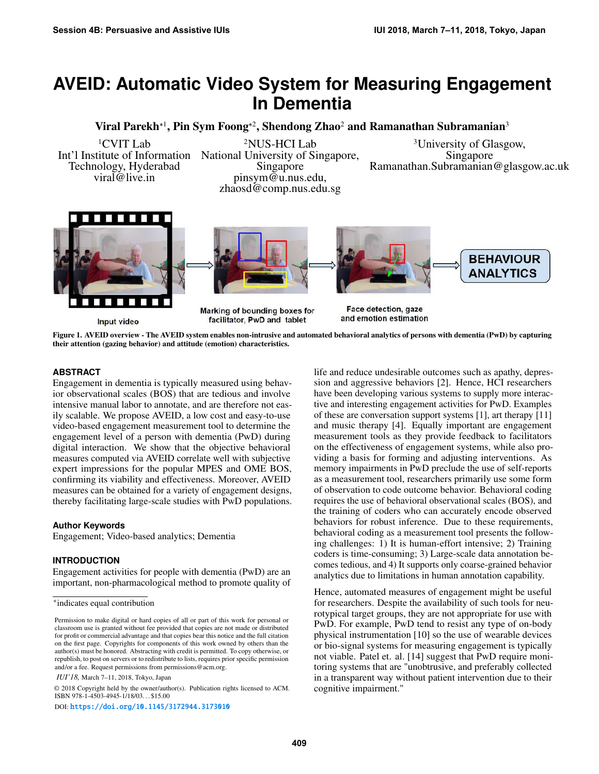# **AVEID: Automatic Video System for Measuring Engagement In Dementia**

Viral Parekh\*<sup>1</sup>, Pin Sym Foong\*<sup>2</sup>, Shendong Zhao<sup>2</sup> and Ramanathan Subramanian<sup>3</sup>

Int'l Institute of Information National University of Singapore,<br>Technology, Hyderabad Singapore Technology, Hyderabad Singapore Ramanathan.Subramanian@glasgow.ac.uk pinsym@u.nus.edu, zhaosd@comp.nus.edu.sg

<sup>1</sup>CVIT Lab <sup>2</sup>NUS-HCI Lab <sup>3</sup>University of Glasgow, itute of Information National University of Singapore, Singapore

**BEHAVIOUR ANALYTICS** 



<span id="page-0-0"></span>

Marking of bounding boxes for facilitator, PwD and tablet

Face detection, gaze and emotion estimation

Figure 1. AVEID overview - The AVEID system enables non-intrusive and automated behavioral analytics of persons with dementia (PwD) by capturing their attention (gazing behavior) and attitude (emotion) characteristics.

### **ABSTRACT**

Engagement in dementia is typically measured using behavior observational scales (BOS) that are tedious and involve intensive manual labor to annotate, and are therefore not easily scalable. We propose AVEID, a low cost and easy-to-use video-based engagement measurement tool to determine the engagement level of a person with dementia (PwD) during digital interaction. We show that the objective behavioral measures computed via AVEID correlate well with subjective expert impressions for the popular MPES and OME BOS, confirming its viability and effectiveness. Moreover, AVEID measures can be obtained for a variety of engagement designs, thereby facilitating large-scale studies with PwD populations.

### **Author Keywords**

Engagement; Video-based analytics; Dementia

### **INTRODUCTION**

Engagement activities for people with dementia (PwD) are an important, non-pharmacological method to promote quality of

*IUI'18,* March 7–11, 2018, Tokyo, Japan

© 2018 Copyright held by the owner/author(s). Publication rights licensed to ACM. ISBN 978-1-4503-4945-1/18/03. . . \$15.00

DOI: <https://doi.org/10.1145/3172944.3173010>

life and reduce undesirable outcomes such as apathy, depression and aggressive behaviors [\[2\]](#page-4-0). Hence, HCI researchers have been developing various systems to supply more interactive and interesting engagement activities for PwD. Examples of these are conversation support systems [\[1\]](#page-4-1), art therapy [\[11\]](#page-4-2) and music therapy [\[4\]](#page-4-3). Equally important are engagement measurement tools as they provide feedback to facilitators on the effectiveness of engagement systems, while also providing a basis for forming and adjusting interventions. As memory impairments in PwD preclude the use of self-reports as a measurement tool, researchers primarily use some form of observation to code outcome behavior. Behavioral coding requires the use of behavioral observational scales (BOS), and the training of coders who can accurately encode observed behaviors for robust inference. Due to these requirements, behavioral coding as a measurement tool presents the following challenges: 1) It is human-effort intensive; 2) Training coders is time-consuming; 3) Large-scale data annotation becomes tedious, and 4) It supports only coarse-grained behavior analytics due to limitations in human annotation capability.

Hence, automated measures of engagement might be useful for researchers. Despite the availability of such tools for neurotypical target groups, they are not appropriate for use with PwD. For example, PwD tend to resist any type of on-body physical instrumentation [\[10\]](#page-4-4) so the use of wearable devices or bio-signal systems for measuring engagement is typically not viable. Patel et. al. [\[14\]](#page-4-5) suggest that PwD require monitoring systems that are "unobtrusive, and preferably collected in a transparent way without patient intervention due to their cognitive impairment."

<sup>\*</sup>indicates equal contribution

Permission to make digital or hard copies of all or part of this work for personal or classroom use is granted without fee provided that copies are not made or distributed for profit or commercial advantage and that copies bear this notice and the full citation on the first page. Copyrights for components of this work owned by others than the author(s) must be honored. Abstracting with credit is permitted. To copy otherwise, or republish, to post on servers or to redistribute to lists, requires prior specific permission and/or a fee. Request permissions from permissions@acm.org.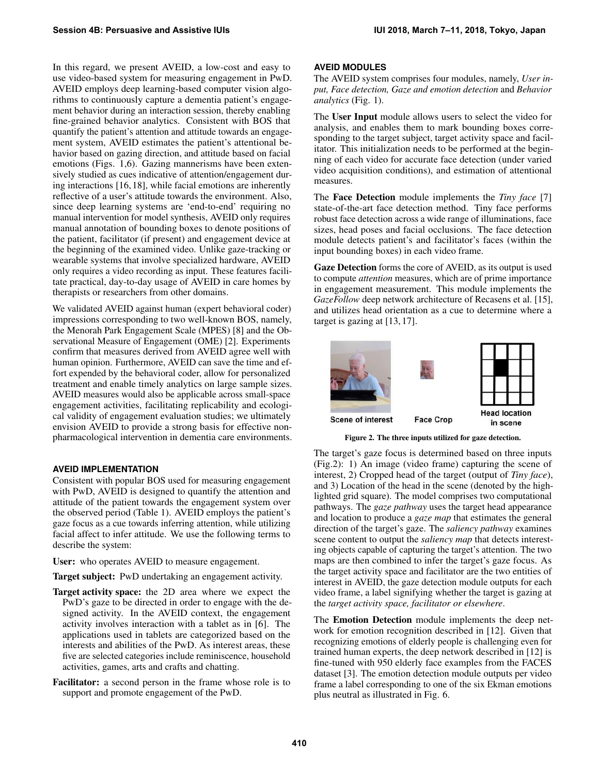In this regard, we present AVEID, a low-cost and easy to use video-based system for measuring engagement in PwD. AVEID employs deep learning-based computer vision algorithms to continuously capture a dementia patient's engagement behavior during an interaction session, thereby enabling fine-grained behavior analytics. Consistent with BOS that quantify the patient's attention and attitude towards an engagement system, AVEID estimates the patient's attentional behavior based on gazing direction, and attitude based on facial emotions (Figs. [1,](#page-0-0)[6\)](#page-3-0). Gazing mannerisms have been extensively studied as cues indicative of attention/engagement during interactions [\[16,](#page-4-6) [18\]](#page-4-7), while facial emotions are inherently reflective of a user's attitude towards the environment. Also, since deep learning systems are 'end-to-end' requiring no manual intervention for model synthesis, AVEID only requires manual annotation of bounding boxes to denote positions of the patient, facilitator (if present) and engagement device at the beginning of the examined video. Unlike gaze-tracking or wearable systems that involve specialized hardware, AVEID only requires a video recording as input. These features facilitate practical, day-to-day usage of AVEID in care homes by therapists or researchers from other domains.

We validated AVEID against human (expert behavioral coder) impressions corresponding to two well-known BOS, namely, the Menorah Park Engagement Scale (MPES) [\[8\]](#page-4-8) and the Observational Measure of Engagement (OME) [\[2\]](#page-4-0). Experiments confirm that measures derived from AVEID agree well with human opinion. Furthermore, AVEID can save the time and effort expended by the behavioral coder, allow for personalized treatment and enable timely analytics on large sample sizes. AVEID measures would also be applicable across small-space engagement activities, facilitating replicability and ecological validity of engagement evaluation studies; we ultimately envision AVEID to provide a strong basis for effective nonpharmacological intervention in dementia care environments.

# **AVEID IMPLEMENTATION**

Consistent with popular BOS used for measuring engagement with PwD, AVEID is designed to quantify the attention and attitude of the patient towards the engagement system over the observed period (Table 1). AVEID employs the patient's gaze focus as a cue towards inferring attention, while utilizing facial affect to infer attitude. We use the following terms to describe the system:

User: who operates AVEID to measure engagement.

Target subject: PwD undertaking an engagement activity.

- Target activity space: the 2D area where we expect the PwD's gaze to be directed in order to engage with the designed activity. In the AVEID context, the engagement activity involves interaction with a tablet as in [\[6\]](#page-4-9). The applications used in tablets are categorized based on the interests and abilities of the PwD. As interest areas, these five are selected categories include reminiscence, household activities, games, arts and crafts and chatting.
- Facilitator: a second person in the frame whose role is to support and promote engagement of the PwD.

# **AVEID MODULES**

The AVEID system comprises four modules, namely, *User input, Face detection, Gaze and emotion detection* and *Behavior analytics* (Fig. [1\)](#page-0-0).

The User Input module allows users to select the video for analysis, and enables them to mark bounding boxes corresponding to the target subject, target activity space and facilitator. This initialization needs to be performed at the beginning of each video for accurate face detection (under varied video acquisition conditions), and estimation of attentional measures.

The Face Detection module implements the *Tiny face* [\[7\]](#page-4-10) state-of-the-art face detection method. Tiny face performs robust face detection across a wide range of illuminations, face sizes, head poses and facial occlusions. The face detection module detects patient's and facilitator's faces (within the input bounding boxes) in each video frame.

Gaze Detection forms the core of AVEID, as its output is used to compute *attention* measures, which are of prime importance in engagement measurement. This module implements the *GazeFollow* deep network architecture of Recasens et al. [\[15\]](#page-4-11), and utilizes head orientation as a cue to determine where a target is gazing at [\[13,](#page-4-12) [17\]](#page-4-13).



<span id="page-1-0"></span>Figure 2. The three inputs utilized for gaze detection.

The target's gaze focus is determined based on three inputs (Fig[.2\)](#page-1-0): 1) An image (video frame) capturing the scene of interest, 2) Cropped head of the target (output of *Tiny face*), and 3) Location of the head in the scene (denoted by the highlighted grid square). The model comprises two computational pathways. The *gaze pathway* uses the target head appearance and location to produce a *gaze map* that estimates the general direction of the target's gaze. The *saliency pathway* examines scene content to output the *saliency map* that detects interesting objects capable of capturing the target's attention. The two maps are then combined to infer the target's gaze focus. As the target activity space and facilitator are the two entities of interest in AVEID, the gaze detection module outputs for each video frame, a label signifying whether the target is gazing at the *target activity space, facilitator or elsewhere*.

The Emotion Detection module implements the deep network for emotion recognition described in [\[12\]](#page-4-14). Given that recognizing emotions of elderly people is challenging even for trained human experts, the deep network described in [\[12\]](#page-4-14) is fine-tuned with 950 elderly face examples from the FACES dataset [\[3\]](#page-4-15). The emotion detection module outputs per video frame a label corresponding to one of the six Ekman emotions plus neutral as illustrated in Fig. [6.](#page-3-0)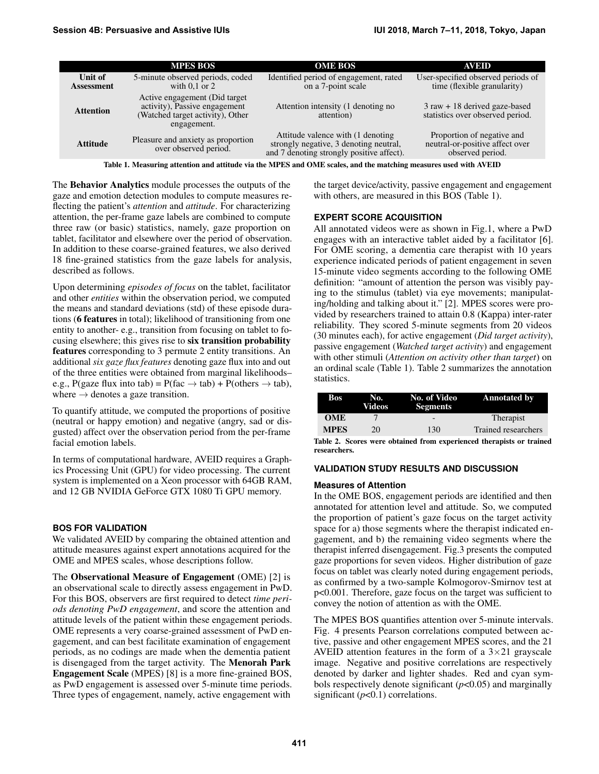|                              | <b>MPES BOS</b>                                                                                                    | <b>OME BOS</b>                                                                                                            | AVEID                                                                               |
|------------------------------|--------------------------------------------------------------------------------------------------------------------|---------------------------------------------------------------------------------------------------------------------------|-------------------------------------------------------------------------------------|
| Unit of<br><b>Assessment</b> | 5-minute observed periods, coded<br>with $0.1$ or $2$                                                              | Identified period of engagement, rated<br>on a 7-point scale                                                              | User-specified observed periods of<br>time (flexible granularity)                   |
| <b>Attention</b>             | Active engagement (Did target)<br>activity), Passive engagement<br>(Watched target activity), Other<br>engagement. | Attention intensity (1 denoting no<br>attention)                                                                          | $3 \text{ raw} + 18 \text{ derived gaze-based}$<br>statistics over observed period. |
| <b>Attitude</b>              | Pleasure and anxiety as proportion<br>over observed period.                                                        | Attitude valence with (1 denoting)<br>strongly negative, 3 denoting neutral,<br>and 7 denoting strongly positive affect). | Proportion of negative and<br>neutral-or-positive affect over<br>observed period.   |

<span id="page-2-0"></span>Table 1. Measuring attention and attitude via the MPES and OME scales, and the matching measures used with AVEID

The Behavior Analytics module processes the outputs of the gaze and emotion detection modules to compute measures reflecting the patient's *attention* and *attitude*. For characterizing attention, the per-frame gaze labels are combined to compute three raw (or basic) statistics, namely, gaze proportion on tablet, facilitator and elsewhere over the period of observation. In addition to these coarse-grained features, we also derived 18 fine-grained statistics from the gaze labels for analysis, described as follows.

Upon determining *episodes of focus* on the tablet, facilitator and other *entities* within the observation period, we computed the means and standard deviations (std) of these episode durations (6 features in total); likelihood of transitioning from one entity to another- e.g., transition from focusing on tablet to focusing elsewhere; this gives rise to six transition probability features corresponding to 3 permute 2 entity transitions. An additional *six gaze flux features* denoting gaze flux into and out of the three entities were obtained from marginal likelihoods– e.g., P(gaze flux into tab) = P(fac  $\rightarrow$  tab) + P(others  $\rightarrow$  tab), where  $\rightarrow$  denotes a gaze transition.

To quantify attitude, we computed the proportions of positive (neutral or happy emotion) and negative (angry, sad or disgusted) affect over the observation period from the per-frame facial emotion labels.

In terms of computational hardware, AVEID requires a Graphics Processing Unit (GPU) for video processing. The current system is implemented on a Xeon processor with 64GB RAM, and 12 GB NVIDIA GeForce GTX 1080 Ti GPU memory.

### **BOS FOR VALIDATION**

We validated AVEID by comparing the obtained attention and attitude measures against expert annotations acquired for the OME and MPES scales, whose descriptions follow.

The Observational Measure of Engagement (OME) [\[2\]](#page-4-0) is an observational scale to directly assess engagement in PwD. For this BOS, observers are first required to detect *time periods denoting PwD engagement*, and score the attention and attitude levels of the patient within these engagement periods. OME represents a very coarse-grained assessment of PwD engagement, and can best facilitate examination of engagement periods, as no codings are made when the dementia patient is disengaged from the target activity. The Menorah Park Engagement Scale (MPES) [\[8\]](#page-4-8) is a more fine-grained BOS, as PwD engagement is assessed over 5-minute time periods. Three types of engagement, namely, active engagement with

the target device/activity, passive engagement and engagement with others, are measured in this BOS (Table [1\)](#page-2-0).

#### **EXPERT SCORE ACQUISITION**

All annotated videos were as shown in Fig[.1,](#page-0-0) where a PwD engages with an interactive tablet aided by a facilitator [\[6\]](#page-4-9). For OME scoring, a dementia care therapist with 10 years experience indicated periods of patient engagement in seven 15-minute video segments according to the following OME definition: "amount of attention the person was visibly paying to the stimulus (tablet) via eye movements; manipulating/holding and talking about it." [\[2\]](#page-4-0). MPES scores were provided by researchers trained to attain 0.8 (Kappa) inter-rater reliability. They scored 5-minute segments from 20 videos (30 minutes each), for active engagement (*Did target activity*), passive engagement (*Watched target activity*) and engagement with other stimuli (*Attention on activity other than target*) on an ordinal scale (Table [1\)](#page-2-0). Table [2](#page-2-1) summarizes the annotation statistics.

| Bos         | No.<br>Videos | No. of Video<br><b>Segments</b> | <b>Annotated by</b> |
|-------------|---------------|---------------------------------|---------------------|
| <b>OME</b>  |               | $\qquad \qquad \blacksquare$    | Therapist           |
| <b>MPES</b> | 20            | 130                             | Trained researchers |

<span id="page-2-1"></span>Table 2. Scores were obtained from experienced therapists or trained researchers.

#### **VALIDATION STUDY RESULTS AND DISCUSSION**

#### **Measures of Attention**

In the OME BOS, engagement periods are identified and then annotated for attention level and attitude. So, we computed the proportion of patient's gaze focus on the target activity space for a) those segments where the therapist indicated engagement, and b) the remaining video segments where the therapist inferred disengagement. Fig[.3](#page-3-1) presents the computed gaze proportions for seven videos. Higher distribution of gaze focus on tablet was clearly noted during engagement periods, as confirmed by a two-sample Kolmogorov-Smirnov test at p<0.001. Therefore, gaze focus on the target was sufficient to convey the notion of attention as with the OME.

The MPES BOS quantifies attention over 5-minute intervals. Fig. [4](#page-3-2) presents Pearson correlations computed between active, passive and other engagement MPES scores, and the 21 AVEID attention features in the form of a  $3\times21$  grayscale image. Negative and positive correlations are respectively denoted by darker and lighter shades. Red and cyan symbols respectively denote significant (*p*<0.05) and marginally significant  $(p<0.1)$  correlations.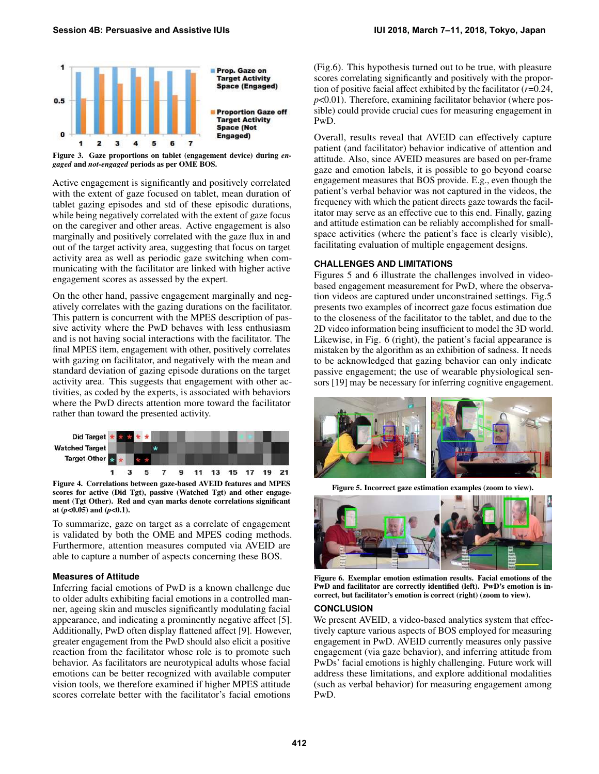

<span id="page-3-1"></span>

Active engagement is significantly and positively correlated with the extent of gaze focused on tablet, mean duration of tablet gazing episodes and std of these episodic durations, while being negatively correlated with the extent of gaze focus on the caregiver and other areas. Active engagement is also marginally and positively correlated with the gaze flux in and out of the target activity area, suggesting that focus on target activity area as well as periodic gaze switching when communicating with the facilitator are linked with higher active engagement scores as assessed by the expert.

On the other hand, passive engagement marginally and negatively correlates with the gazing durations on the facilitator. This pattern is concurrent with the MPES description of passive activity where the PwD behaves with less enthusiasm and is not having social interactions with the facilitator. The final MPES item, engagement with other, positively correlates with gazing on facilitator, and negatively with the mean and standard deviation of gazing episode durations on the target activity area. This suggests that engagement with other activities, as coded by the experts, is associated with behaviors where the PwD directs attention more toward the facilitator rather than toward the presented activity.



<span id="page-3-2"></span>Figure 4. Correlations between gaze-based AVEID features and MPES scores for active (Did Tgt), passive (Watched Tgt) and other engagement (Tgt Other). Red and cyan marks denote correlations significant at (*p*<0.05) and (*p*<0.1).

To summarize, gaze on target as a correlate of engagement is validated by both the OME and MPES coding methods. Furthermore, attention measures computed via AVEID are able to capture a number of aspects concerning these BOS.

#### **Measures of Attitude**

Inferring facial emotions of PwD is a known challenge due to older adults exhibiting facial emotions in a controlled manner, ageing skin and muscles significantly modulating facial appearance, and indicating a prominently negative affect [\[5\]](#page-4-16). Additionally, PwD often display flattened affect [\[9\]](#page-4-17). However, greater engagement from the PwD should also elicit a positive reaction from the facilitator whose role is to promote such behavior. As facilitators are neurotypical adults whose facial emotions can be better recognized with available computer vision tools, we therefore examined if higher MPES attitude scores correlate better with the facilitator's facial emotions

(Fig[.6\)](#page-3-0). This hypothesis turned out to be true, with pleasure scores correlating significantly and positively with the proportion of positive facial affect exhibited by the facilitator (*r*=0.24, *p*<0.01). Therefore, examining facilitator behavior (where possible) could provide crucial cues for measuring engagement in PwD.

Overall, results reveal that AVEID can effectively capture patient (and facilitator) behavior indicative of attention and attitude. Also, since AVEID measures are based on per-frame gaze and emotion labels, it is possible to go beyond coarse engagement measures that BOS provide. E.g., even though the patient's verbal behavior was not captured in the videos, the frequency with which the patient directs gaze towards the facilitator may serve as an effective cue to this end. Finally, gazing and attitude estimation can be reliably accomplished for smallspace activities (where the patient's face is clearly visible), facilitating evaluation of multiple engagement designs.

## **CHALLENGES AND LIMITATIONS**

Figures [5](#page-3-3) and [6](#page-3-0) illustrate the challenges involved in videobased engagement measurement for PwD, where the observation videos are captured under unconstrained settings. Fig[.5](#page-3-3) presents two examples of incorrect gaze focus estimation due to the closeness of the facilitator to the tablet, and due to the 2D video information being insufficient to model the 3D world. Likewise, in Fig. [6](#page-3-0) (right), the patient's facial appearance is mistaken by the algorithm as an exhibition of sadness. It needs to be acknowledged that gazing behavior can only indicate passive engagement; the use of wearable physiological sensors [\[19\]](#page-4-18) may be necessary for inferring cognitive engagement.



Figure 5. Incorrect gaze estimation examples (zoom to view).

<span id="page-3-3"></span>

Figure 6. Exemplar emotion estimation results. Facial emotions of the PwD and facilitator are correctly identified (left). PwD's emotion is incorrect, but facilitator's emotion is correct (right) (zoom to view).

#### <span id="page-3-0"></span>**CONCLUSION**

We present AVEID, a video-based analytics system that effectively capture various aspects of BOS employed for measuring engagement in PwD. AVEID currently measures only passive engagement (via gaze behavior), and inferring attitude from PwDs' facial emotions is highly challenging. Future work will address these limitations, and explore additional modalities (such as verbal behavior) for measuring engagement among PwD.